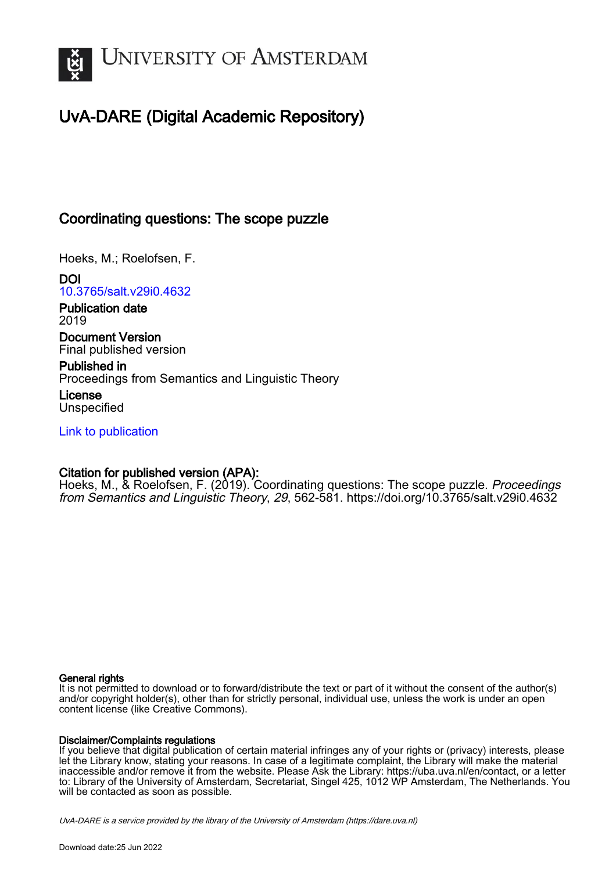

# UvA-DARE (Digital Academic Repository)

## Coordinating questions: The scope puzzle

Hoeks, M.; Roelofsen, F.

DOI [10.3765/salt.v29i0.4632](https://doi.org/10.3765/salt.v29i0.4632)

Publication date 2019

Document Version Final published version

Published in Proceedings from Semantics and Linguistic Theory

License Unspecified

[Link to publication](https://dare.uva.nl/personal/pure/en/publications/coordinating-questions-the-scope-puzzle(30baadf1-6780-4a64-adc9-b0bf636ae74a).html)

## Citation for published version (APA):

Hoeks, M., & Roelofsen, F. (2019). Coordinating questions: The scope puzzle. Proceedings from Semantics and Linguistic Theory, 29, 562-581. <https://doi.org/10.3765/salt.v29i0.4632>

#### General rights

It is not permitted to download or to forward/distribute the text or part of it without the consent of the author(s) and/or copyright holder(s), other than for strictly personal, individual use, unless the work is under an open content license (like Creative Commons).

#### Disclaimer/Complaints regulations

If you believe that digital publication of certain material infringes any of your rights or (privacy) interests, please let the Library know, stating your reasons. In case of a legitimate complaint, the Library will make the material inaccessible and/or remove it from the website. Please Ask the Library: https://uba.uva.nl/en/contact, or a letter to: Library of the University of Amsterdam, Secretariat, Singel 425, 1012 WP Amsterdam, The Netherlands. You will be contacted as soon as possible.

UvA-DARE is a service provided by the library of the University of Amsterdam (http*s*://dare.uva.nl)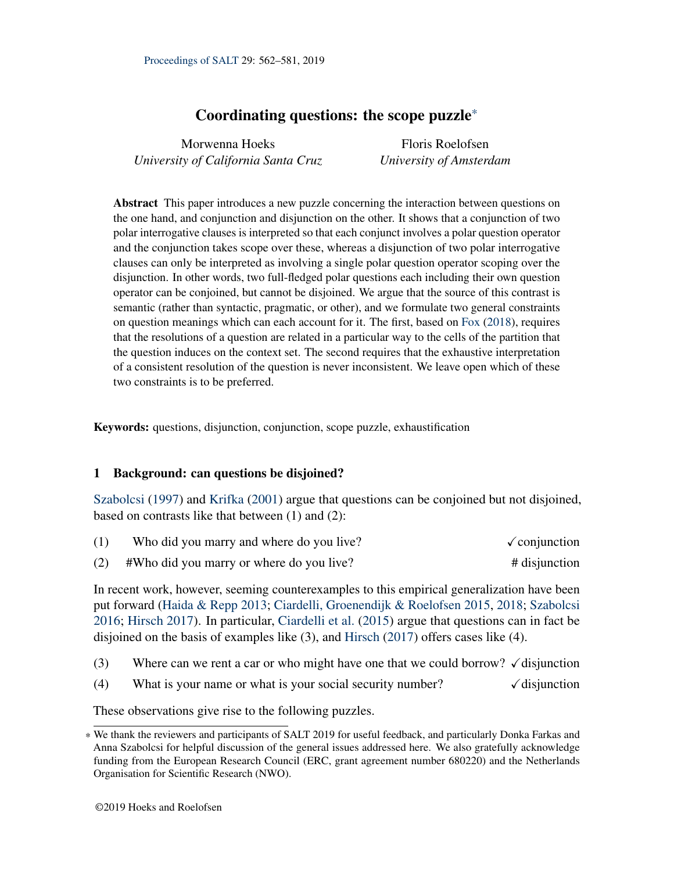## Coordinating questions: the scope puzzle\*

| Morwenna Hoeks                      | Floris Roelofsen        |
|-------------------------------------|-------------------------|
| University of California Santa Cruz | University of Amsterdam |

Abstract This paper introduces a new puzzle concerning the interaction between questions on the one hand, and conjunction and disjunction on the other. It shows that a conjunction of two polar interrogative clauses is interpreted so that each conjunct involves a polar question operator and the conjunction takes scope over these, whereas a disjunction of two polar interrogative clauses can only be interpreted as involving a single polar question operator scoping over the disjunction. In other words, two full-fledged polar questions each including their own question operator can be conjoined, but cannot be disjoined. We argue that the source of this contrast is semantic (rather than syntactic, pragmatic, or other), and we formulate two general constraints on question meanings which can each account for it. The first, based on [Fox](#page-19-0) [\(2018\)](#page-19-0), requires that the resolutions of a question are related in a particular way to the cells of the partition that the question induces on the context set. The second requires that the exhaustive interpretation of a consistent resolution of the question is never inconsistent. We leave open which of these two constraints is to be preferred.

Keywords: questions, disjunction, conjunction, scope puzzle, exhaustification

## 1 Background: can questions be disjoined?

[Szabolcsi](#page-20-0) [\(1997\)](#page-20-0) and [Krifka](#page-19-1) [\(2001\)](#page-19-1) argue that questions can be conjoined but not disjoined, based on contrasts like that between (1) and (2):

<span id="page-1-1"></span><span id="page-1-0"></span>

|     | Who did you marry and where do you live? | $\sqrt{\text{conjunction}}$ |
|-----|------------------------------------------|-----------------------------|
| (2) | #Who did you marry or where do you live? | # disjunction               |

In recent work, however, seeming counterexamples to this empirical generalization have been put forward [\(Haida & Repp](#page-19-2) [2013;](#page-19-2) [Ciardelli, Groenendijk & Roelofsen](#page-19-3) [2015,](#page-19-3) [2018;](#page-19-4) [Szabolcsi](#page-20-1) [2016;](#page-20-1) [Hirsch](#page-19-5) [2017\)](#page-19-5). In particular, [Ciardelli et al.](#page-19-3) [\(2015\)](#page-19-3) argue that questions can in fact be disjoined on the basis of examples like (3), and [Hirsch](#page-19-5) [\(2017\)](#page-19-5) offers cases like (4).

- <span id="page-1-3"></span><span id="page-1-2"></span>(3) Where can we rent a car or who might have one that we could borrow?  $\checkmark$  disjunction
- (4) What is your name or what is your social security number?  $\checkmark$  disjunction

<span id="page-1-4"></span>These observations give rise to the following puzzles.

<sup>\*</sup> We thank the reviewers and participants of SALT 2019 for useful feedback, and particularly Donka Farkas and Anna Szabolcsi for helpful discussion of the general issues addressed here. We also gratefully acknowledge funding from the European Research Council (ERC, grant agreement number 680220) and the Netherlands Organisation for Scientific Research (NWO).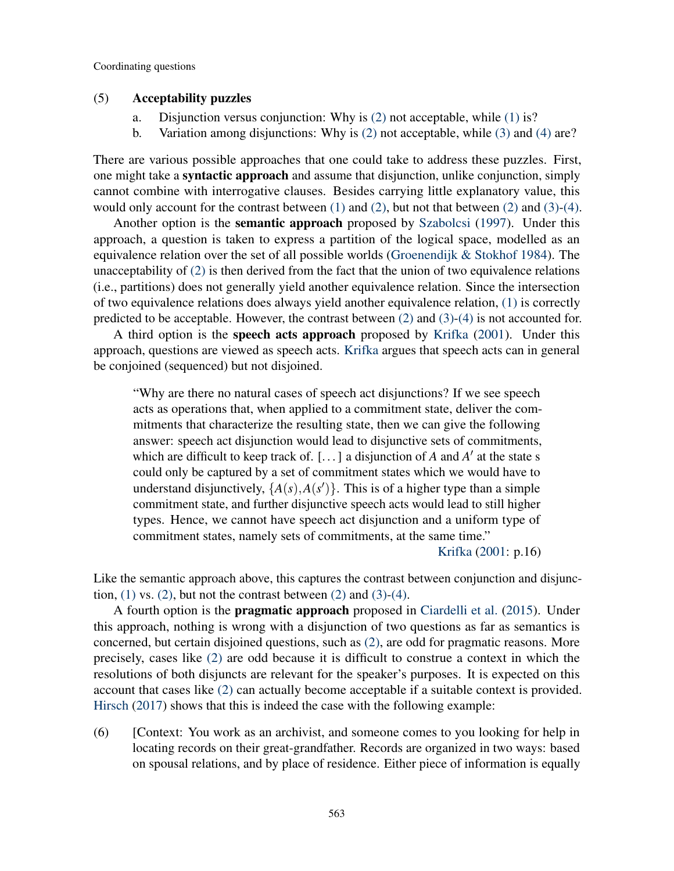#### (5) Acceptability puzzles

- a. Disjunction versus conjunction: Why is [\(2\)](#page-1-0) not acceptable, while [\(1\)](#page-1-1) is?
- b. Variation among disjunctions: Why is [\(2\)](#page-1-0) not acceptable, while [\(3\)](#page-1-2) and [\(4\)](#page-1-3) are?

There are various possible approaches that one could take to address these puzzles. First, one might take a syntactic approach and assume that disjunction, unlike conjunction, simply cannot combine with interrogative clauses. Besides carrying little explanatory value, this would only account for the contrast between [\(1\)](#page-1-1) and [\(2\),](#page-1-0) but not that between [\(2\)](#page-1-0) and [\(3\)](#page-1-2)[-\(4\).](#page-1-3)

Another option is the semantic approach proposed by [Szabolcsi](#page-20-0) [\(1997\)](#page-20-0). Under this approach, a question is taken to express a partition of the logical space, modelled as an equivalence relation over the set of all possible worlds [\(Groenendijk & Stokhof](#page-19-6) [1984\)](#page-19-6). The unacceptability of [\(2\)](#page-1-0) is then derived from the fact that the union of two equivalence relations (i.e., partitions) does not generally yield another equivalence relation. Since the intersection of two equivalence relations does always yield another equivalence relation, [\(1\)](#page-1-1) is correctly predicted to be acceptable. However, the contrast between [\(2\)](#page-1-0) and [\(3\)-](#page-1-2)[\(4\)](#page-1-3) is not accounted for.

A third option is the speech acts approach proposed by [Krifka](#page-19-1) [\(2001\)](#page-19-1). Under this approach, questions are viewed as speech acts. [Krifka](#page-19-1) argues that speech acts can in general be conjoined (sequenced) but not disjoined.

"Why are there no natural cases of speech act disjunctions? If we see speech acts as operations that, when applied to a commitment state, deliver the commitments that characterize the resulting state, then we can give the following answer: speech act disjunction would lead to disjunctive sets of commitments, which are difficult to keep track of. [ $\dots$ ] a disjunction of *A* and *A'* at the state s could only be captured by a set of commitment states which we would have to understand disjunctively,  $\{A(s), A(s')\}$ . This is of a higher type than a simple commitment state, and further disjunctive speech acts would lead to still higher types. Hence, we cannot have speech act disjunction and a uniform type of commitment states, namely sets of commitments, at the same time."

[Krifka](#page-19-1) [\(2001:](#page-19-1) p.16)

Like the semantic approach above, this captures the contrast between conjunction and disjunction,  $(1)$  vs.  $(2)$ , but not the contrast between  $(2)$  and  $(3)-(4)$  $(3)-(4)$ .

A fourth option is the pragmatic approach proposed in [Ciardelli et al.](#page-19-3) [\(2015\)](#page-19-3). Under this approach, nothing is wrong with a disjunction of two questions as far as semantics is concerned, but certain disjoined questions, such as [\(2\),](#page-1-0) are odd for pragmatic reasons. More precisely, cases like [\(2\)](#page-1-0) are odd because it is difficult to construe a context in which the resolutions of both disjuncts are relevant for the speaker's purposes. It is expected on this account that cases like [\(2\)](#page-1-0) can actually become acceptable if a suitable context is provided. [Hirsch](#page-19-5) [\(2017\)](#page-19-5) shows that this is indeed the case with the following example:

<span id="page-2-0"></span>(6) [Context: You work as an archivist, and someone comes to you looking for help in locating records on their great-grandfather. Records are organized in two ways: based on spousal relations, and by place of residence. Either piece of information is equally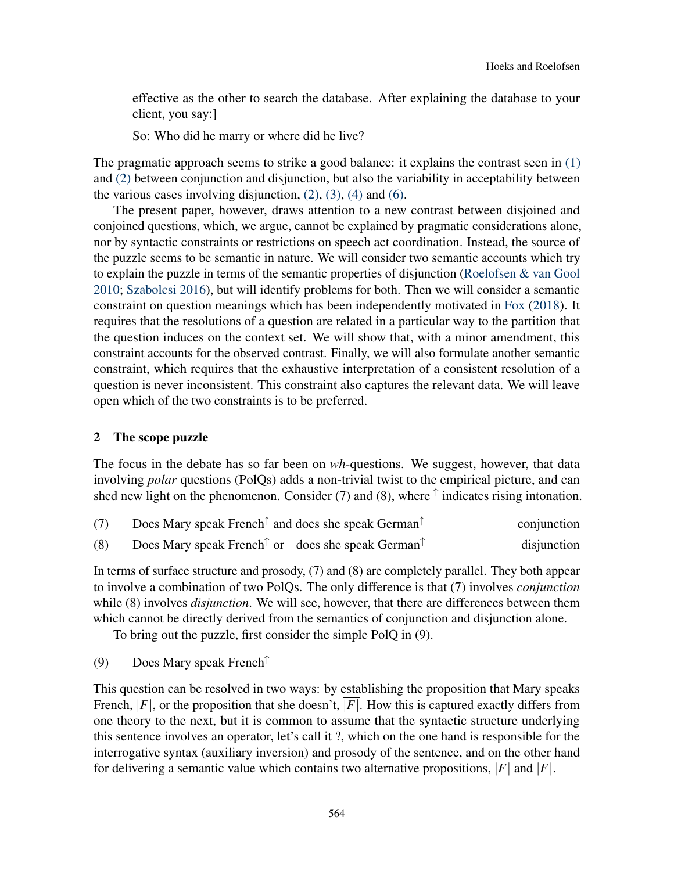effective as the other to search the database. After explaining the database to your client, you say:]

So: Who did he marry or where did he live?

The pragmatic approach seems to strike a good balance: it explains the contrast seen in [\(1\)](#page-1-1) and [\(2\)](#page-1-0) between conjunction and disjunction, but also the variability in acceptability between the various cases involving disjunction,  $(2)$ ,  $(3)$ ,  $(4)$  and  $(6)$ .

The present paper, however, draws attention to a new contrast between disjoined and conjoined questions, which, we argue, cannot be explained by pragmatic considerations alone, nor by syntactic constraints or restrictions on speech act coordination. Instead, the source of the puzzle seems to be semantic in nature. We will consider two semantic accounts which try to explain the puzzle in terms of the semantic properties of disjunction [\(Roelofsen & van Gool](#page-20-2) [2010;](#page-20-2) [Szabolcsi](#page-20-1) [2016\)](#page-20-1), but will identify problems for both. Then we will consider a semantic constraint on question meanings which has been independently motivated in [Fox](#page-19-0) [\(2018\)](#page-19-0). It requires that the resolutions of a question are related in a particular way to the partition that the question induces on the context set. We will show that, with a minor amendment, this constraint accounts for the observed contrast. Finally, we will also formulate another semantic constraint, which requires that the exhaustive interpretation of a consistent resolution of a question is never inconsistent. This constraint also captures the relevant data. We will leave open which of the two constraints is to be preferred.

#### 2 The scope puzzle

The focus in the debate has so far been on *wh*-questions. We suggest, however, that data involving *polar* questions (PolQs) adds a non-trivial twist to the empirical picture, and can shed new light on the phenomenon. Consider (7) and (8), where  $\uparrow$  indicates rising intonation.

<span id="page-3-2"></span><span id="page-3-1"></span>

| (7) | Does Mary speak French <sup><math>\uparrow</math></sup> and does she speak German <sup><math>\uparrow</math></sup> | conjunction |
|-----|--------------------------------------------------------------------------------------------------------------------|-------------|
| (8) | Does Mary speak French <sup><math>\uparrow</math></sup> or does she speak German <sup><math>\uparrow</math></sup>  | disjunction |

In terms of surface structure and prosody, (7) and (8) are completely parallel. They both appear to involve a combination of two PolQs. The only difference is that (7) involves *conjunction* while (8) involves *disjunction*. We will see, however, that there are differences between them which cannot be directly derived from the semantics of conjunction and disjunction alone.

To bring out the puzzle, first consider the simple PolQ in (9).

<span id="page-3-0"></span>(9) Does Mary speak French<sup>↑</sup>

This question can be resolved in two ways: by establishing the proposition that Mary speaks French,  $|F|$ , or the proposition that she doesn't,  $|F|$ . How this is captured exactly differs from one theory to the next, but it is common to assume that the syntactic structure underlying this sentence involves an operator, let's call it ?, which on the one hand is responsible for the interrogative syntax (auxiliary inversion) and prosody of the sentence, and on the other hand for delivering a semantic value which contains two alternative propositions, |*F*| and |*F*|.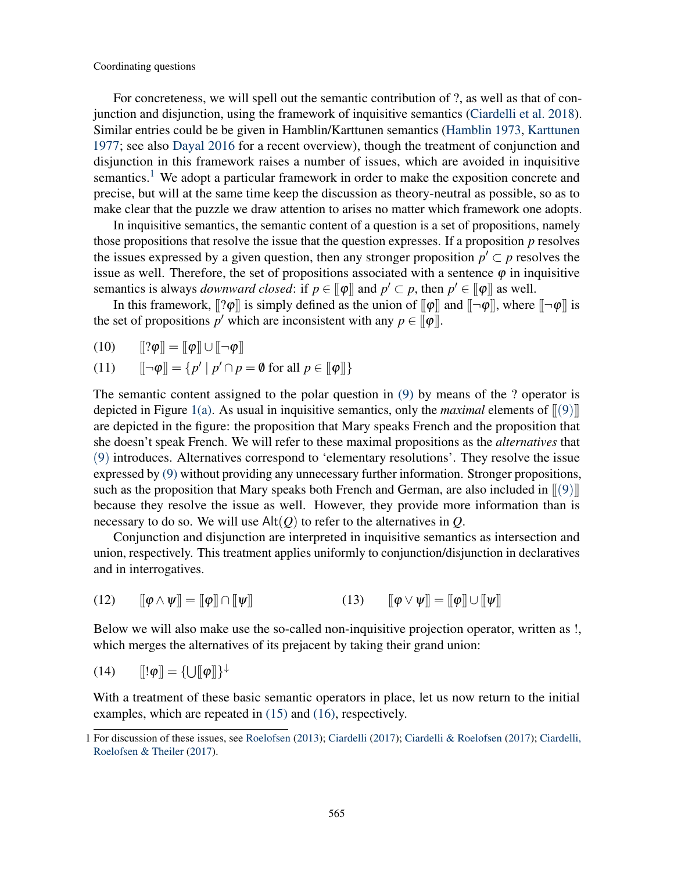For concreteness, we will spell out the semantic contribution of ?, as well as that of conjunction and disjunction, using the framework of inquisitive semantics [\(Ciardelli et al.](#page-19-4) [2018\)](#page-19-4). Similar entries could be be given in Hamblin/Karttunen semantics [\(Hamblin](#page-19-7) [1973,](#page-19-7) [Karttunen](#page-19-8) [1977;](#page-19-8) see also [Dayal](#page-19-9) [2016](#page-19-9) for a recent overview), though the treatment of conjunction and disjunction in this framework raises a number of issues, which are avoided in inquisitive semantics.<sup>[1](#page-4-0)</sup> We adopt a particular framework in order to make the exposition concrete and precise, but will at the same time keep the discussion as theory-neutral as possible, so as to make clear that the puzzle we draw attention to arises no matter which framework one adopts.

In inquisitive semantics, the semantic content of a question is a set of propositions, namely those propositions that resolve the issue that the question expresses. If a proposition *p* resolves the issues expressed by a given question, then any stronger proposition  $p' \subset p$  resolves the issue as well. Therefore, the set of propositions associated with a sentence  $\varphi$  in inquisitive semantics is always *downward closed*: if  $p \in [\![\varphi]\!]$  and  $p' \subset p$ , then  $p' \in [\![\varphi]\!]$  as well.

In this framework,  $\llbracket |\varphi| \rrbracket$  is simply defined as the union of  $\llbracket \varphi \rrbracket$  and  $\llbracket \neg \varphi \rrbracket$ , where  $\llbracket \neg \varphi \rrbracket$  is the set of propositions  $p'$  which are inconsistent with any  $p \in [\![\varphi]\!]$ .

$$
(10) \qquad [\![? \varphi]\!] = [\![\varphi]\!] \cup [\![\neg \varphi]\!]
$$

(11) 
$$
\llbracket \neg \varphi \rrbracket = \{ p' \mid p' \cap p = \emptyset \text{ for all } p \in [\llbracket \varphi \rrbracket \}
$$

The semantic content assigned to the polar question in  $(9)$  by means of the ? operator is depicted in Figure [1\(a\).](#page-5-0) As usual in inquisitive semantics, only the *maximal* elements of  $\lbrack\!\lbrack9)\rbrack\!\rbrack$ are depicted in the figure: the proposition that Mary speaks French and the proposition that she doesn't speak French. We will refer to these maximal propositions as the *alternatives* that ([9](#page-3-0)) introduces. Alternatives correspond to 'elementary resolutions'. They resolve the issue expressed by [\(9\)](#page-3-0) without providing any unnecessary further information. Stronger propositions, such as the proposition that Mary speaks both French and German, are also included in  $\langle \phi | \phi \rangle$ because they resolve the issue as well. However, they provide more information than is necessary to do so. We will use  $Alt(Q)$  to refer to the alternatives in  $Q$ .

Conjunction and disjunction are interpreted in inquisitive semantics as intersection and union, respectively. This treatment applies uniformly to conjunction/disjunction in declaratives and in interrogatives.

(12) 
$$
\llbracket \boldsymbol{\varphi} \wedge \boldsymbol{\psi} \rrbracket = \llbracket \boldsymbol{\varphi} \rrbracket \cap \llbracket \boldsymbol{\psi} \rrbracket \tag{13} \qquad (\mathbf{13}) \qquad \llbracket \boldsymbol{\varphi} \vee \boldsymbol{\psi} \rrbracket = \llbracket \boldsymbol{\varphi} \rrbracket \cup \llbracket \boldsymbol{\psi} \rrbracket
$$

Below we will also make use the so-called non-inquisitive projection operator, written as !, which merges the alternatives of its prejacent by taking their grand union:

$$
(14) \qquad \llbracket !\varphi \rrbracket = \{\cup [\llbracket \varphi \rrbracket\}^{\downarrow}
$$

With a treatment of these basic semantic operators in place, let us now return to the initial examples, which are repeated in [\(15\)](#page-5-1) and [\(16\),](#page-5-2) respectively.

<span id="page-4-0"></span><sup>1</sup> For discussion of these issues, see [Roelofsen](#page-20-3) [\(2013\)](#page-20-3); [Ciardelli](#page-19-10) [\(2017\)](#page-19-10); [Ciardelli & Roelofsen](#page-19-11) [\(2017\)](#page-19-11); [Ciardelli,](#page-19-12) [Roelofsen & Theiler](#page-19-12) [\(2017\)](#page-19-12).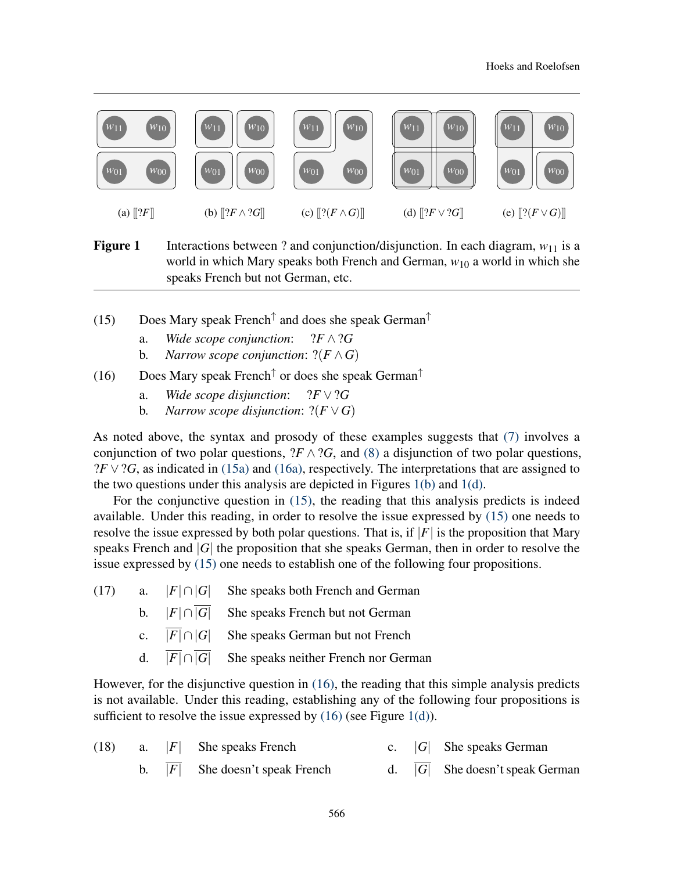<span id="page-5-0"></span>

<span id="page-5-10"></span><span id="page-5-8"></span><span id="page-5-6"></span><span id="page-5-5"></span>**Figure 1** Interactions between ? and conjunction/disjunction. In each diagram,  $w_{11}$  is a world in which Mary speaks both French and German, *w*<sup>10</sup> a world in which she speaks French but not German, etc.

- <span id="page-5-3"></span><span id="page-5-1"></span>(15) Does Mary speak French<sup>↑</sup> and does she speak German<sup>↑</sup>
	- a. *Wide scope conjunction*: ?*F* ∧?*G*
	- b. *Narrow scope conjunction*:  $? (F \wedge G)$
- <span id="page-5-9"></span><span id="page-5-4"></span><span id="page-5-2"></span>(16) Does Mary speak French<sup>↑</sup> or does she speak German<sup>↑</sup>
	- a. *Wide scope disjunction*:  $?F \vee ?G$
	- b. *Narrow scope disjunction*:  $? (F \vee G)$

<span id="page-5-7"></span>As noted above, the syntax and prosody of these examples suggests that [\(7\)](#page-3-1) involves a conjunction of two polar questions,  $?F \wedge ?G$ , and [\(8\)](#page-3-2) a disjunction of two polar questions,  $?F \vee ?G$ , as indicated in [\(15a\)](#page-5-3) and [\(16a\),](#page-5-4) respectively. The interpretations that are assigned to the two questions under this analysis are depicted in Figures [1\(b\)](#page-5-5) and [1\(d\).](#page-5-6)

For the conjunctive question in [\(15\),](#page-5-1) the reading that this analysis predicts is indeed available. Under this reading, in order to resolve the issue expressed by [\(15\)](#page-5-1) one needs to resolve the issue expressed by both polar questions. That is, if  $|F|$  is the proposition that Mary speaks French and |*G*| the proposition that she speaks German, then in order to resolve the issue expressed by [\(15\)](#page-5-1) one needs to establish one of the following four propositions.

- (17) a.  $|F| \cap |G|$  She speaks both French and German
	- b.  $|F| \cap |\overline{G}|$  She speaks French but not German
	- c.  $\overline{|F|} \cap |G|$  She speaks German but not French
	- d.  $\overline{|F|} \cap \overline{|G|}$  She speaks neither French nor German

However, for the disjunctive question in [\(16\),](#page-5-2) the reading that this simple analysis predicts is not available. Under this reading, establishing any of the following four propositions is sufficient to resolve the issue expressed by  $(16)$  (see Figure [1\(d\)\)](#page-5-6).

|  | (18) a. $ F $ She speaks French   |  | c. $ G $ She speaks German        |
|--|-----------------------------------|--|-----------------------------------|
|  | b. $ F $ She doesn't speak French |  | d. $ G $ She doesn't speak German |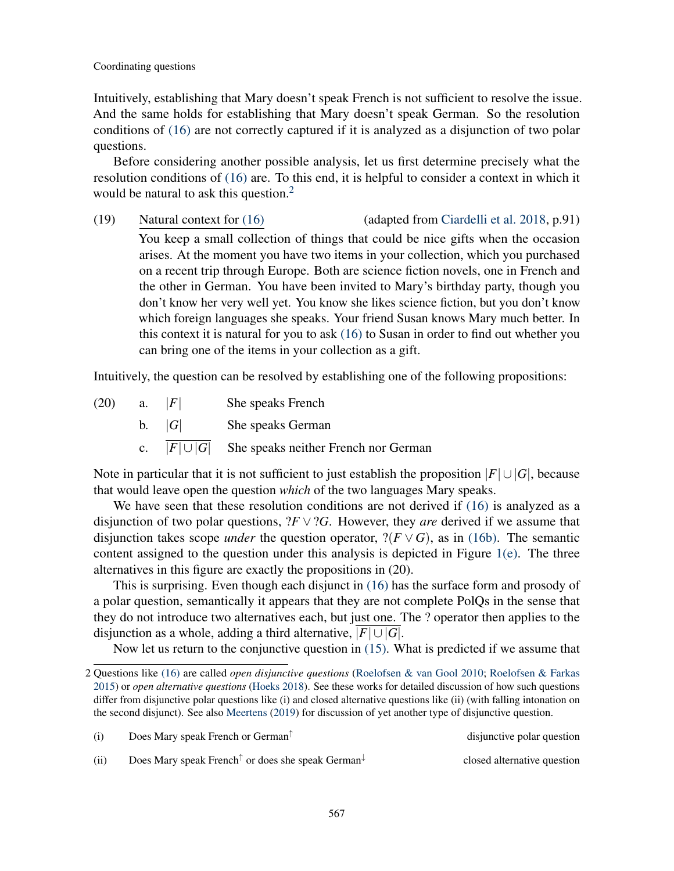Intuitively, establishing that Mary doesn't speak French is not sufficient to resolve the issue. And the same holds for establishing that Mary doesn't speak German. So the resolution conditions of [\(16\)](#page-5-2) are not correctly captured if it is analyzed as a disjunction of two polar questions.

Before considering another possible analysis, let us first determine precisely what the resolution conditions of [\(16\)](#page-5-2) are. To this end, it is helpful to consider a context in which it would be natural to ask this question.<sup>[2](#page-6-0)</sup>

(19) Natural context for [\(16\)](#page-5-2) (adapted from [Ciardelli et al.](#page-19-4) [2018,](#page-19-4) p.91) You keep a small collection of things that could be nice gifts when the occasion arises. At the moment you have two items in your collection, which you purchased on a recent trip through Europe. Both are science fiction novels, one in French and the other in German. You have been invited to Mary's birthday party, though you don't know her very well yet. You know she likes science fiction, but you don't know which foreign languages she speaks. Your friend Susan knows Mary much better. In this context it is natural for you to ask [\(16\)](#page-5-2) to Susan in order to find out whether you can bring one of the items in your collection as a gift.

Intuitively, the question can be resolved by establishing one of the following propositions:

(20) a. |*F*| She speaks French b. |*G*| She speaks German c.  $|F| \cup |G|$  She speaks neither French nor German

Note in particular that it is not sufficient to just establish the proposition  $|F| \cup |G|$ , because that would leave open the question *which* of the two languages Mary speaks.

We have seen that these resolution conditions are not derived if [\(16\)](#page-5-2) is analyzed as a disjunction of two polar questions,  $?F \vee ?G$ . However, they *are* derived if we assume that disjunction takes scope *under* the question operator,  $? (F \vee G)$ , as in [\(16b\).](#page-5-7) The semantic content assigned to the question under this analysis is depicted in Figure [1\(e\).](#page-5-8) The three alternatives in this figure are exactly the propositions in (20).

This is surprising. Even though each disjunct in [\(16\)](#page-5-2) has the surface form and prosody of a polar question, semantically it appears that they are not complete PolQs in the sense that they do not introduce two alternatives each, but just one. The ? operator then applies to the disjunction as a whole, adding a third alternative,  $|F| \cup |G|$ .

Now let us return to the conjunctive question in [\(15\).](#page-5-1) What is predicted if we assume that

|  | Does Mary speak French or German <sup><math>\uparrow</math></sup> | disjunctive polar question |
|--|-------------------------------------------------------------------|----------------------------|
|--|-------------------------------------------------------------------|----------------------------|

closed alternative question

(ii) Does Mary speak French<sup>↑</sup> or does she speak German<sup>↓</sup>

<span id="page-6-0"></span><sup>2</sup> Questions like [\(16\)](#page-5-2) are called *open disjunctive questions* [\(Roelofsen & van Gool](#page-20-2) [2010;](#page-20-2) [Roelofsen & Farkas](#page-20-4) [2015\)](#page-20-4) or *open alternative questions* [\(Hoeks](#page-19-13) [2018\)](#page-19-13). See these works for detailed discussion of how such questions differ from disjunctive polar questions like (i) and closed alternative questions like (ii) (with falling intonation on the second disjunct). See also [Meertens](#page-19-14) [\(2019\)](#page-19-14) for discussion of yet another type of disjunctive question.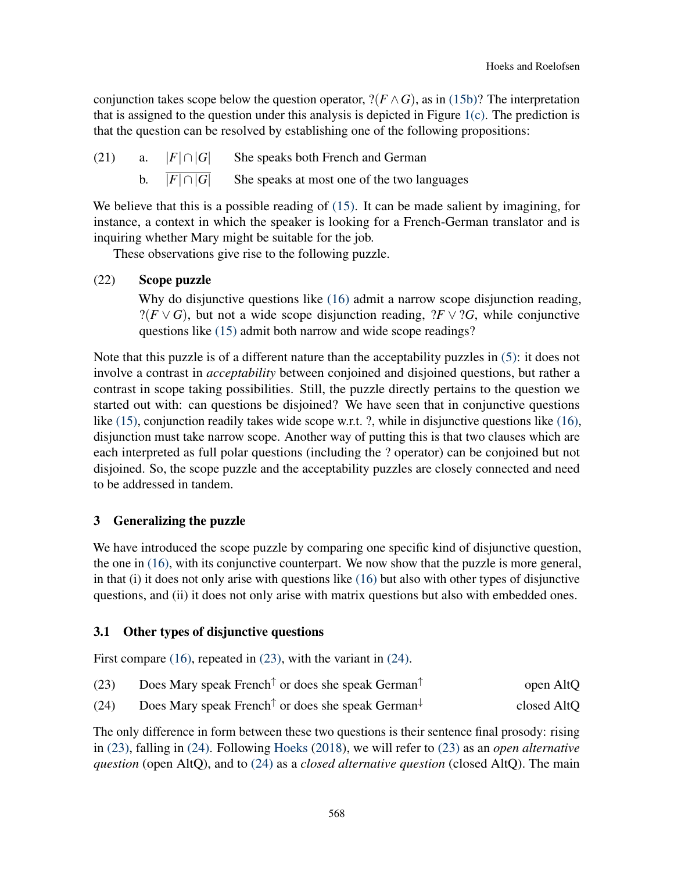conjunction takes scope below the question operator,  $?$ ( $F \wedge G$ ), as in [\(15b\)?](#page-5-9) The interpretation that is assigned to the question under this analysis is depicted in Figure [1\(c\).](#page-5-10) The prediction is that the question can be resolved by establishing one of the following propositions:

(21) a.  $|F| \cap |G|$  She speaks both French and German b.  $\overline{|F| \cap |G|}$  She speaks at most one of the two languages

We believe that this is a possible reading of [\(15\).](#page-5-1) It can be made salient by imagining, for instance, a context in which the speaker is looking for a French-German translator and is inquiring whether Mary might be suitable for the job.

These observations give rise to the following puzzle.

## (22) Scope puzzle

Why do disjunctive questions like [\(16\)](#page-5-2) admit a narrow scope disjunction reading,  $?$ (*F* ∨ *G*), but not a wide scope disjunction reading,  $?$ *F* ∨  $?$ *G*, while conjunctive questions like [\(15\)](#page-5-1) admit both narrow and wide scope readings?

Note that this puzzle is of a different nature than the acceptability puzzles in [\(5\):](#page-1-4) it does not involve a contrast in *acceptability* between conjoined and disjoined questions, but rather a contrast in scope taking possibilities. Still, the puzzle directly pertains to the question we started out with: can questions be disjoined? We have seen that in conjunctive questions like [\(15\),](#page-5-1) conjunction readily takes wide scope w.r.t. ?, while in disjunctive questions like [\(16\),](#page-5-2) disjunction must take narrow scope. Another way of putting this is that two clauses which are each interpreted as full polar questions (including the ? operator) can be conjoined but not disjoined. So, the scope puzzle and the acceptability puzzles are closely connected and need to be addressed in tandem.

## 3 Generalizing the puzzle

We have introduced the scope puzzle by comparing one specific kind of disjunctive question, the one in [\(16\),](#page-5-2) with its conjunctive counterpart. We now show that the puzzle is more general, in that (i) it does not only arise with questions like [\(16\)](#page-5-2) but also with other types of disjunctive questions, and (ii) it does not only arise with matrix questions but also with embedded ones.

## 3.1 Other types of disjunctive questions

First compare [\(16\),](#page-5-2) repeated in [\(23\),](#page-7-0) with the variant in [\(24\).](#page-7-1)

<span id="page-7-1"></span><span id="page-7-0"></span>

| (23) |  | Does Mary speak French <sup><math>\uparrow</math></sup> or does she speak German <sup><math>\uparrow</math></sup> | open AltQ |
|------|--|-------------------------------------------------------------------------------------------------------------------|-----------|
|------|--|-------------------------------------------------------------------------------------------------------------------|-----------|

(24) Does Mary speak French<sup>↑</sup> or does she speak German<sup>↓</sup> closed AltQ

The only difference in form between these two questions is their sentence final prosody: rising in [\(23\),](#page-7-0) falling in [\(24\).](#page-7-1) Following [Hoeks](#page-19-13) [\(2018\)](#page-19-13), we will refer to [\(23\)](#page-7-0) as an *open alternative question* (open AltQ), and to [\(24\)](#page-7-1) as a *closed alternative question* (closed AltQ). The main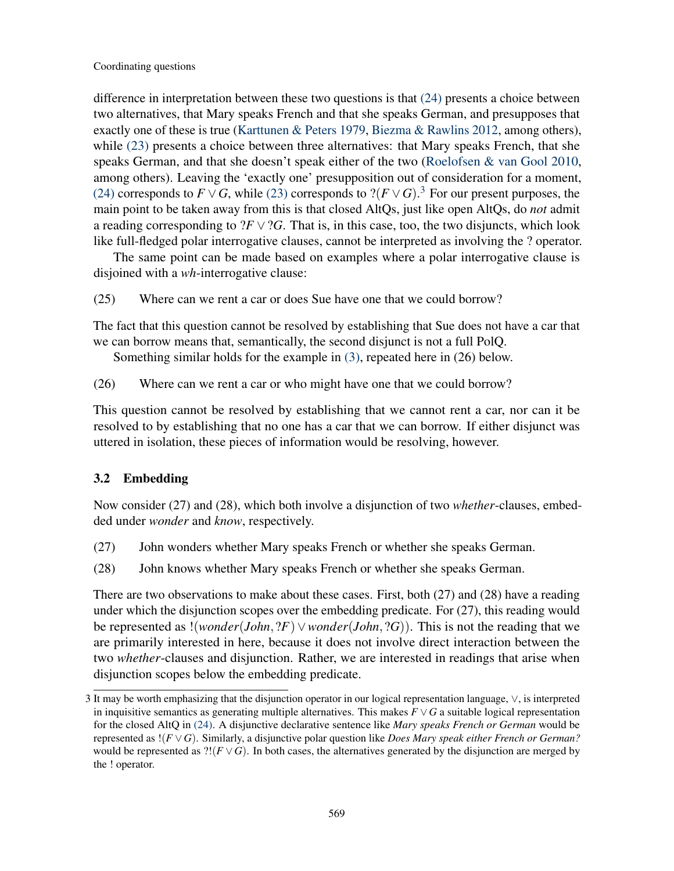difference in interpretation between these two questions is that [\(24\)](#page-7-1) presents a choice between two alternatives, that Mary speaks French and that she speaks German, and presupposes that exactly one of these is true [\(Karttunen & Peters](#page-19-15) [1979,](#page-19-15) [Biezma & Rawlins](#page-19-16) [2012,](#page-19-16) among others), while [\(23\)](#page-7-0) presents a choice between three alternatives: that Mary speaks French, that she speaks German, and that she doesn't speak either of the two [\(Roelofsen & van Gool](#page-20-2) [2010,](#page-20-2) among others). Leaving the 'exactly one' presupposition out of consideration for a moment, [\(24\)](#page-7-1) corresponds to  $F \vee G$ , while [\(23\)](#page-7-0) corresponds to  $? (F \vee G).$ <sup>[3](#page-8-0)</sup> For our present purposes, the main point to be taken away from this is that closed AltQs, just like open AltQs, do *not* admit a reading corresponding to  $?F \vee ?G$ . That is, in this case, too, the two disjuncts, which look like full-fledged polar interrogative clauses, cannot be interpreted as involving the ? operator.

The same point can be made based on examples where a polar interrogative clause is disjoined with a *wh*-interrogative clause:

<span id="page-8-3"></span>(25) Where can we rent a car or does Sue have one that we could borrow?

The fact that this question cannot be resolved by establishing that Sue does not have a car that we can borrow means that, semantically, the second disjunct is not a full PolQ.

Something similar holds for the example in [\(3\),](#page-1-2) repeated here in (26) below.

<span id="page-8-4"></span>(26) Where can we rent a car or who might have one that we could borrow?

This question cannot be resolved by establishing that we cannot rent a car, nor can it be resolved to by establishing that no one has a car that we can borrow. If either disjunct was uttered in isolation, these pieces of information would be resolving, however.

## 3.2 Embedding

Now consider (27) and (28), which both involve a disjunction of two *whether*-clauses, embedded under *wonder* and *know*, respectively.

- <span id="page-8-2"></span><span id="page-8-1"></span>(27) John wonders whether Mary speaks French or whether she speaks German.
- (28) John knows whether Mary speaks French or whether she speaks German.

There are two observations to make about these cases. First, both (27) and (28) have a reading under which the disjunction scopes over the embedding predicate. For (27), this reading would be represented as !(*wonder*(*John*, ?*F*)∨*wonder*(*John*, ?*G*)). This is not the reading that we are primarily interested in here, because it does not involve direct interaction between the two *whether*-clauses and disjunction. Rather, we are interested in readings that arise when disjunction scopes below the embedding predicate.

<span id="page-8-0"></span><sup>3</sup> It may be worth emphasizing that the disjunction operator in our logical representation language, ∨, is interpreted in inquisitive semantics as generating multiple alternatives. This makes  $F \vee G$  a suitable logical representation for the closed AltQ in [\(24\).](#page-7-1) A disjunctive declarative sentence like *Mary speaks French or German* would be represented as !(*F* ∨*G*). Similarly, a disjunctive polar question like *Does Mary speak either French or German?* would be represented as  $?!(F \vee G)$ . In both cases, the alternatives generated by the disjunction are merged by the ! operator.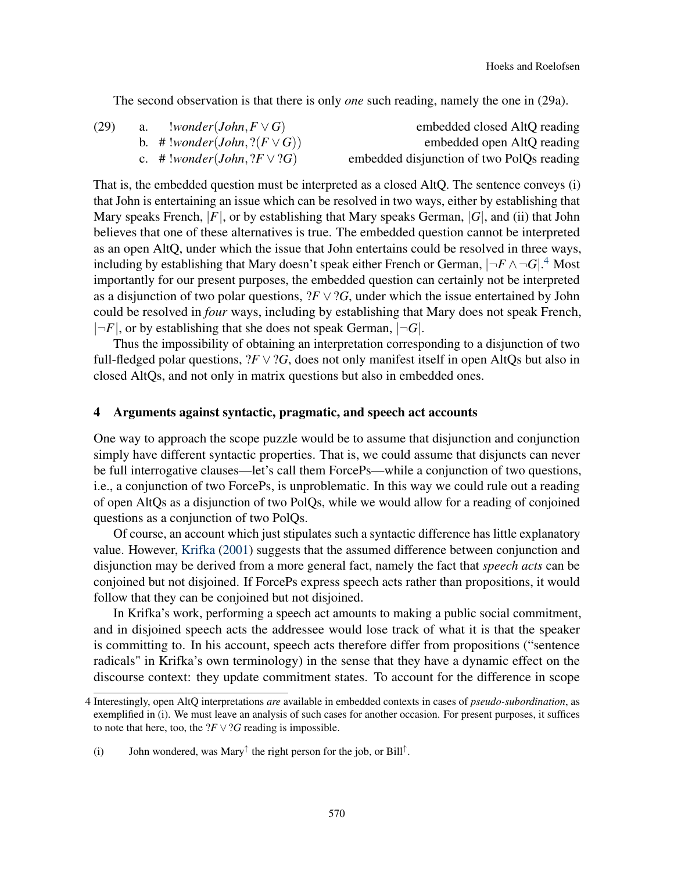The second observation is that there is only *one* such reading, namely the one in (29a).

<span id="page-9-1"></span>

| embedded closed AltQ reading              | $!wonder(John, F \vee G)$           | a. | (29) |
|-------------------------------------------|-------------------------------------|----|------|
| embedded open AltQ reading                | b. # !wonder(John, $? (F \vee G)$ ) |    |      |
| embedded disjunction of two PolQs reading | c. # !wonder(John, $?F \vee ?G$ )   |    |      |

That is, the embedded question must be interpreted as a closed AltQ. The sentence conveys (i) that John is entertaining an issue which can be resolved in two ways, either by establishing that Mary speaks French, |*F*|, or by establishing that Mary speaks German, |*G*|, and (ii) that John believes that one of these alternatives is true. The embedded question cannot be interpreted as an open AltQ, under which the issue that John entertains could be resolved in three ways, including by establishing that Mary doesn't speak either French or German, |¬*F* ∧¬*G*|. [4](#page-9-0) Most importantly for our present purposes, the embedded question can certainly not be interpreted as a disjunction of two polar questions,  $?F \vee ?G$ , under which the issue entertained by John could be resolved in *four* ways, including by establishing that Mary does not speak French,  $|\neg F|$ , or by establishing that she does not speak German,  $|\neg G|$ .

Thus the impossibility of obtaining an interpretation corresponding to a disjunction of two full-fledged polar questions,  $?F \vee ?G$ , does not only manifest itself in open AltQs but also in closed AltQs, and not only in matrix questions but also in embedded ones.

#### 4 Arguments against syntactic, pragmatic, and speech act accounts

One way to approach the scope puzzle would be to assume that disjunction and conjunction simply have different syntactic properties. That is, we could assume that disjuncts can never be full interrogative clauses—let's call them ForcePs—while a conjunction of two questions, i.e., a conjunction of two ForcePs, is unproblematic. In this way we could rule out a reading of open AltQs as a disjunction of two PolQs, while we would allow for a reading of conjoined questions as a conjunction of two PolQs.

Of course, an account which just stipulates such a syntactic difference has little explanatory value. However, [Krifka](#page-19-1) [\(2001\)](#page-19-1) suggests that the assumed difference between conjunction and disjunction may be derived from a more general fact, namely the fact that *speech acts* can be conjoined but not disjoined. If ForcePs express speech acts rather than propositions, it would follow that they can be conjoined but not disjoined.

In Krifka's work, performing a speech act amounts to making a public social commitment, and in disjoined speech acts the addressee would lose track of what it is that the speaker is committing to. In his account, speech acts therefore differ from propositions ("sentence radicals" in Krifka's own terminology) in the sense that they have a dynamic effect on the discourse context: they update commitment states. To account for the difference in scope

<span id="page-9-0"></span><sup>4</sup> Interestingly, open AltQ interpretations *are* available in embedded contexts in cases of *pseudo-subordination*, as exemplified in (i). We must leave an analysis of such cases for another occasion. For present purposes, it suffices to note that here, too, the  $?F \vee ?G$  reading is impossible.

<sup>(</sup>i) John wondered, was Mary<sup> $\uparrow$ </sup> the right person for the job, or Bill<sup> $\uparrow$ </sup>.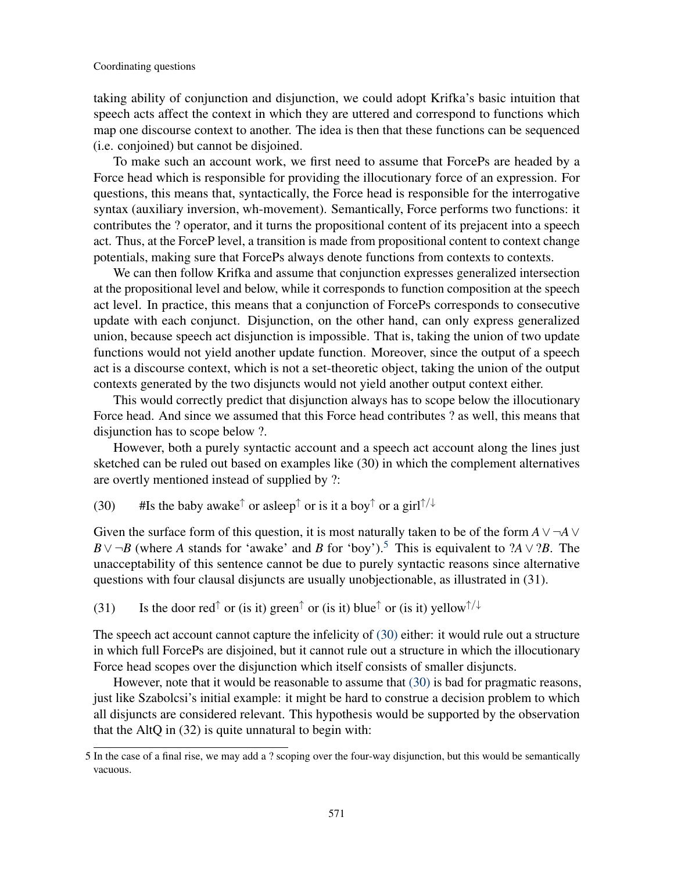taking ability of conjunction and disjunction, we could adopt Krifka's basic intuition that speech acts affect the context in which they are uttered and correspond to functions which map one discourse context to another. The idea is then that these functions can be sequenced (i.e. conjoined) but cannot be disjoined.

To make such an account work, we first need to assume that ForcePs are headed by a Force head which is responsible for providing the illocutionary force of an expression. For questions, this means that, syntactically, the Force head is responsible for the interrogative syntax (auxiliary inversion, wh-movement). Semantically, Force performs two functions: it contributes the ? operator, and it turns the propositional content of its prejacent into a speech act. Thus, at the ForceP level, a transition is made from propositional content to context change potentials, making sure that ForcePs always denote functions from contexts to contexts.

We can then follow Krifka and assume that conjunction expresses generalized intersection at the propositional level and below, while it corresponds to function composition at the speech act level. In practice, this means that a conjunction of ForcePs corresponds to consecutive update with each conjunct. Disjunction, on the other hand, can only express generalized union, because speech act disjunction is impossible. That is, taking the union of two update functions would not yield another update function. Moreover, since the output of a speech act is a discourse context, which is not a set-theoretic object, taking the union of the output contexts generated by the two disjuncts would not yield another output context either.

This would correctly predict that disjunction always has to scope below the illocutionary Force head. And since we assumed that this Force head contributes ? as well, this means that disjunction has to scope below ?.

However, both a purely syntactic account and a speech act account along the lines just sketched can be ruled out based on examples like (30) in which the complement alternatives are overtly mentioned instead of supplied by ?:

<span id="page-10-1"></span>(30) #Is the baby awake<sup> $\uparrow$ </sup> or asleep<sup> $\uparrow$ </sup> or is it a boy $\uparrow$  or a girl $\uparrow/\downarrow$ 

Given the surface form of this question, it is most naturally taken to be of the form  $A \vee \neg A \vee$ *B*∨ ¬*B* (where *A* stands for 'awake' and *B* for 'boy').<sup>[5](#page-10-0)</sup> This is equivalent to ?*A* ∨ ?*B*. The unacceptability of this sentence cannot be due to purely syntactic reasons since alternative questions with four clausal disjuncts are usually unobjectionable, as illustrated in (31).

(31) Is the door red<sup>↑</sup> or (is it) green<sup>↑</sup> or (is it) blue<sup>↑</sup> or (is it) yellow<sup>↑/↓</sup>

The speech act account cannot capture the infelicity of [\(30\)](#page-10-1) either: it would rule out a structure in which full ForcePs are disjoined, but it cannot rule out a structure in which the illocutionary Force head scopes over the disjunction which itself consists of smaller disjuncts.

However, note that it would be reasonable to assume that [\(30\)](#page-10-1) is bad for pragmatic reasons, just like Szabolcsi's initial example: it might be hard to construe a decision problem to which all disjuncts are considered relevant. This hypothesis would be supported by the observation that the AltQ in (32) is quite unnatural to begin with:

<span id="page-10-0"></span><sup>5</sup> In the case of a final rise, we may add a ? scoping over the four-way disjunction, but this would be semantically vacuous.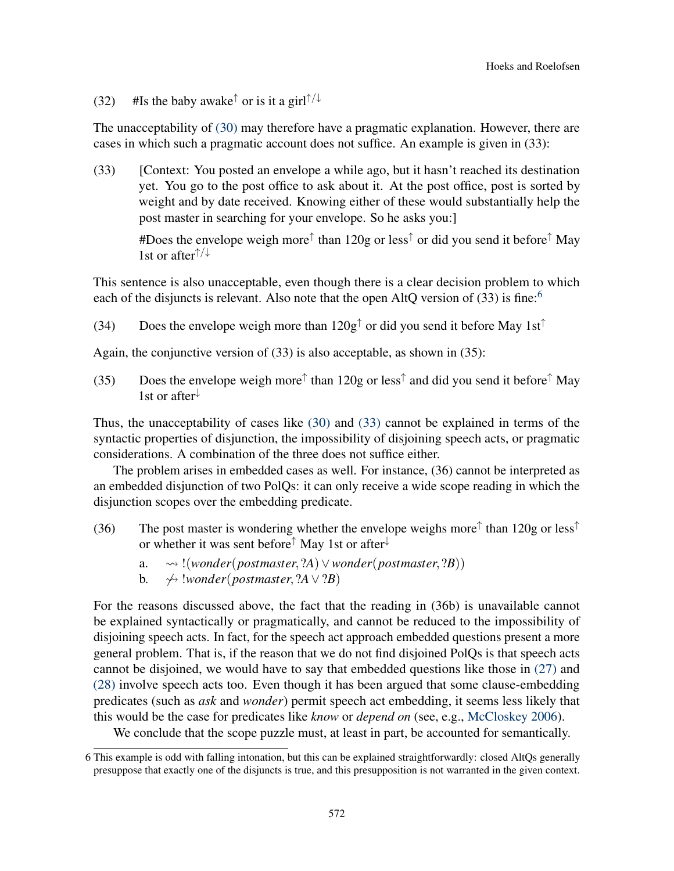(32) #Is the baby awake<sup> $\uparrow$ </sup> or is it a girl $\uparrow/\downarrow$ 

The unacceptability of [\(30\)](#page-10-1) may therefore have a pragmatic explanation. However, there are cases in which such a pragmatic account does not suffice. An example is given in (33):

<span id="page-11-1"></span>(33) [Context: You posted an envelope a while ago, but it hasn't reached its destination yet. You go to the post office to ask about it. At the post office, post is sorted by weight and by date received. Knowing either of these would substantially help the post master in searching for your envelope. So he asks you:]

#Does the envelope weigh more<sup>↑</sup> than 120g or less<sup>↑</sup> or did you send it before<sup>↑</sup> May 1st or after  $\uparrow/\downarrow$ 

This sentence is also unacceptable, even though there is a clear decision problem to which each of the disjuncts is relevant. Also note that the open AltO version of  $(33)$  is fine:<sup>[6](#page-11-0)</sup>

(34) Does the envelope weigh more than  $120g<sup>†</sup>$  or did you send it before May 1st<sup>†</sup>

Again, the conjunctive version of (33) is also acceptable, as shown in (35):

(35) Does the envelope weigh more<sup> $\uparrow$ </sup> than 120g or less<sup> $\uparrow$ </sup> and did you send it before<sup> $\uparrow$ </sup> May 1st or after<sup>↓</sup>

Thus, the unacceptability of cases like [\(30\)](#page-10-1) and [\(33\)](#page-11-1) cannot be explained in terms of the syntactic properties of disjunction, the impossibility of disjoining speech acts, or pragmatic considerations. A combination of the three does not suffice either.

The problem arises in embedded cases as well. For instance, (36) cannot be interpreted as an embedded disjunction of two PolQs: it can only receive a wide scope reading in which the disjunction scopes over the embedding predicate.

- (36) The post master is wondering whether the envelope weighs more<sup> $\uparrow$ </sup> than 120g or less<sup> $\uparrow$ </sup> or whether it was sent before<sup>↑</sup> May 1st or after<sup>↓</sup>
	- a. !(*wonder*(*postmaster*, ?*A*)∨*wonder*(*postmaster*, ?*B*))
	- **b.**  $\rightarrow$  *∤ wonder*(*postmaster, ?A*  $\vee$  *?B*)

For the reasons discussed above, the fact that the reading in (36b) is unavailable cannot be explained syntactically or pragmatically, and cannot be reduced to the impossibility of disjoining speech acts. In fact, for the speech act approach embedded questions present a more general problem. That is, if the reason that we do not find disjoined PolQs is that speech acts cannot be disjoined, we would have to say that embedded questions like those in [\(27\)](#page-8-1) and [\(28\)](#page-8-2) involve speech acts too. Even though it has been argued that some clause-embedding predicates (such as *ask* and *wonder*) permit speech act embedding, it seems less likely that this would be the case for predicates like *know* or *depend on* (see, e.g., [McCloskey](#page-19-17) [2006\)](#page-19-17).

We conclude that the scope puzzle must, at least in part, be accounted for semantically.

<span id="page-11-0"></span><sup>6</sup> This example is odd with falling intonation, but this can be explained straightforwardly: closed AltQs generally presuppose that exactly one of the disjuncts is true, and this presupposition is not warranted in the given context.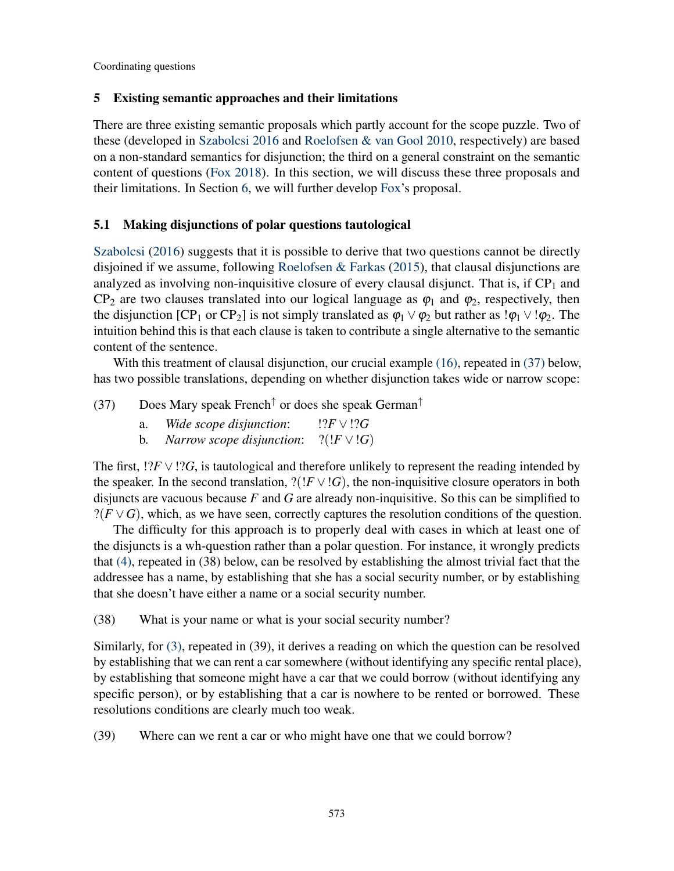## 5 Existing semantic approaches and their limitations

There are three existing semantic proposals which partly account for the scope puzzle. Two of these (developed in [Szabolcsi](#page-20-1) [2016](#page-20-1) and [Roelofsen & van Gool](#page-20-2) [2010,](#page-20-2) respectively) are based on a non-standard semantics for disjunction; the third on a general constraint on the semantic content of questions [\(Fox](#page-19-0) [2018\)](#page-19-0). In this section, we will discuss these three proposals and their limitations. In Section [6,](#page-15-0) we will further develop [Fox'](#page-19-0)s proposal.

## 5.1 Making disjunctions of polar questions tautological

[Szabolcsi](#page-20-1) [\(2016\)](#page-20-1) suggests that it is possible to derive that two questions cannot be directly disjoined if we assume, following [Roelofsen & Farkas](#page-20-4) [\(2015\)](#page-20-4), that clausal disjunctions are analyzed as involving non-inquisitive closure of every clausal disjunct. That is, if  $CP_1$  and CP<sub>2</sub> are two clauses translated into our logical language as  $\varphi_1$  and  $\varphi_2$ , respectively, then the disjunction  $[CP_1$  or  $CP_2$ ] is not simply translated as  $\varphi_1 \vee \varphi_2$  but rather as  $\varphi_1 \vee \varphi_2$ . The intuition behind this is that each clause is taken to contribute a single alternative to the semantic content of the sentence.

With this treatment of clausal disjunction, our crucial example [\(16\),](#page-5-2) repeated in [\(37\)](#page-12-0) below, has two possible translations, depending on whether disjunction takes wide or narrow scope:

- <span id="page-12-0"></span>(37) Does Mary speak French<sup>↑</sup> or does she speak German<sup>↑</sup>
	- a. *Wide scope disjunction*: !?*F* ∨!?*G*
	- b. *Narrow scope disjunction*:  $?(!F \vee !G)$

The first,  $!?F \vee !?G$ , is tautological and therefore unlikely to represent the reading intended by the speaker. In the second translation,  $?(!F \vee !G)$ , the non-inquisitive closure operators in both disjuncts are vacuous because *F* and *G* are already non-inquisitive. So this can be simplified to  $?$ (*F* ∨ *G*), which, as we have seen, correctly captures the resolution conditions of the question.

The difficulty for this approach is to properly deal with cases in which at least one of the disjuncts is a wh-question rather than a polar question. For instance, it wrongly predicts that [\(4\),](#page-1-3) repeated in (38) below, can be resolved by establishing the almost trivial fact that the addressee has a name, by establishing that she has a social security number, or by establishing that she doesn't have either a name or a social security number.

<span id="page-12-1"></span>(38) What is your name or what is your social security number?

Similarly, for [\(3\),](#page-1-2) repeated in (39), it derives a reading on which the question can be resolved by establishing that we can rent a car somewhere (without identifying any specific rental place), by establishing that someone might have a car that we could borrow (without identifying any specific person), or by establishing that a car is nowhere to be rented or borrowed. These resolutions conditions are clearly much too weak.

<span id="page-12-2"></span>(39) Where can we rent a car or who might have one that we could borrow?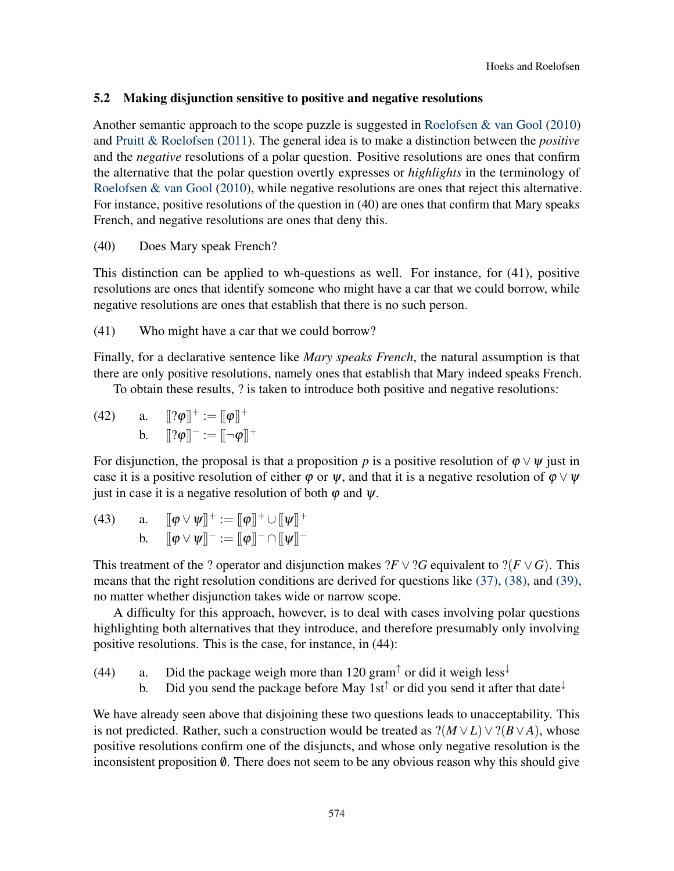## 5.2 Making disjunction sensitive to positive and negative resolutions

Another semantic approach to the scope puzzle is suggested in [Roelofsen & van Gool](#page-20-2) [\(2010\)](#page-20-2) and [Pruitt & Roelofsen](#page-19-18) [\(2011\)](#page-19-18). The general idea is to make a distinction between the *positive* and the *negative* resolutions of a polar question. Positive resolutions are ones that confirm the alternative that the polar question overtly expresses or *highlights* in the terminology of [Roelofsen & van Gool](#page-20-2) [\(2010\)](#page-20-2), while negative resolutions are ones that reject this alternative. For instance, positive resolutions of the question in (40) are ones that confirm that Mary speaks French, and negative resolutions are ones that deny this.

(40) Does Mary speak French?

This distinction can be applied to wh-questions as well. For instance, for (41), positive resolutions are ones that identify someone who might have a car that we could borrow, while negative resolutions are ones that establish that there is no such person.

(41) Who might have a car that we could borrow?

Finally, for a declarative sentence like *Mary speaks French*, the natural assumption is that there are only positive resolutions, namely ones that establish that Mary indeed speaks French.

To obtain these results, ? is taken to introduce both positive and negative resolutions:

(42) a.  $[[? \varphi]]^+ := [[\varphi]]^+$ b.  $[[? \varphi]]^- := [-\varphi]]^+$ 

For disjunction, the proposal is that a proposition *p* is a positive resolution of  $\varphi \lor \psi$  just in case it is a positive resolution of either  $\varphi$  or  $\psi$ , and that it is a negative resolution of  $\varphi \vee \psi$ just in case it is a negative resolution of both  $\varphi$  and  $\psi$ .

(43) a.  $[\![\varphi \vee \psi]\!]^+ := [\![\varphi]\!]^+ \cup [\![\psi]\!]^+$ b.  $[\![\varphi \vee \psi]\!]^- := [\![\varphi]\!]^- \cap [\![\psi]\!]^-$ 

This treatment of the ? operator and disjunction makes  $?F \vee ?G$  equivalent to  $?F \vee G$ . This means that the right resolution conditions are derived for questions like [\(37\),](#page-12-0) [\(38\),](#page-12-1) and [\(39\),](#page-12-2) no matter whether disjunction takes wide or narrow scope.

A difficulty for this approach, however, is to deal with cases involving polar questions highlighting both alternatives that they introduce, and therefore presumably only involving positive resolutions. This is the case, for instance, in (44):

(44) a. Did the package weigh more than 120 gram<sup> $\uparrow$ </sup> or did it weigh less<sup> $\downarrow$ </sup>

b. Did you send the package before May 1st<sup> $\uparrow$ </sup> or did you send it after that date<sup> $\downarrow$ </sup>

We have already seen above that disjoining these two questions leads to unacceptability. This is not predicted. Rather, such a construction would be treated as  $?(*M*∨*L*)∨?(*B*∨*A*)$ , whose positive resolutions confirm one of the disjuncts, and whose only negative resolution is the inconsistent proposition  $\emptyset$ . There does not seem to be any obvious reason why this should give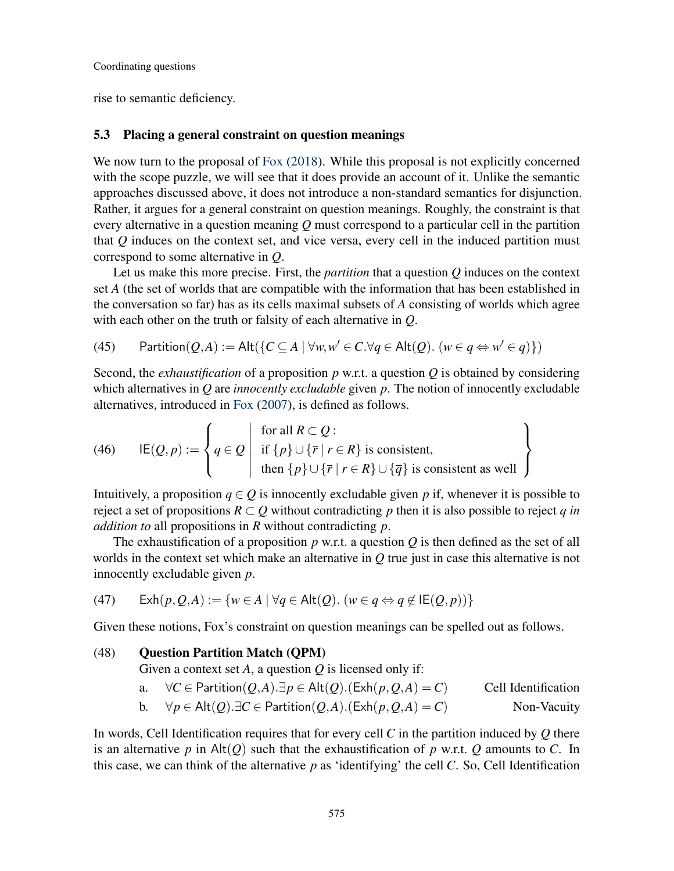rise to semantic deficiency.

#### <span id="page-14-0"></span>5.3 Placing a general constraint on question meanings

We now turn to the proposal of [Fox](#page-19-0) [\(2018\)](#page-19-0). While this proposal is not explicitly concerned with the scope puzzle, we will see that it does provide an account of it. Unlike the semantic approaches discussed above, it does not introduce a non-standard semantics for disjunction. Rather, it argues for a general constraint on question meanings. Roughly, the constraint is that every alternative in a question meaning *Q* must correspond to a particular cell in the partition that *Q* induces on the context set, and vice versa, every cell in the induced partition must correspond to some alternative in *Q*.

Let us make this more precise. First, the *partition* that a question *Q* induces on the context set *A* (the set of worlds that are compatible with the information that has been established in the conversation so far) has as its cells maximal subsets of *A* consisting of worlds which agree with each other on the truth or falsity of each alternative in *Q*.

(45) Partition(
$$
Q, A
$$
) := Alt( $\{C \subseteq A \mid \forall w, w' \in C. \forall q \in Alt(Q). (w \in q \Leftrightarrow w' \in q)\}$ )

Second, the *exhaustification* of a proposition *p* w.r.t. a question *Q* is obtained by considering which alternatives in *Q* are *innocently excludable* given *p*. The notion of innocently excludable alternatives, introduced in [Fox](#page-19-19) [\(2007\)](#page-19-19), is defined as follows.

(46) 
$$
IE(Q, p) := \left\{ q \in Q \mid \text{if } \{p\} \cup \{\overline{r} \mid r \in R\} \text{ is consistent,} \atop \text{then } \{p\} \cup \{\overline{r} \mid r \in R\} \cup \{\overline{q}\} \text{ is consistent as well} \right\}
$$

Intuitively, a proposition  $q \in Q$  is innocently excludable given p if, whenever it is possible to reject a set of propositions  $R \subset Q$  without contradicting p then it is also possible to reject q in *addition to* all propositions in *R* without contradicting *p*.

The exhaustification of a proposition *p* w.r.t. a question *Q* is then defined as the set of all worlds in the context set which make an alternative in *Q* true just in case this alternative is not innocently excludable given *p*.

<span id="page-14-1"></span>(47) 
$$
\operatorname{Exh}(p, Q, A) := \{ w \in A \mid \forall q \in \operatorname{Alt}(Q). \ (w \in q \Leftrightarrow q \notin \operatorname{IE}(Q, p)) \}
$$

Given these notions, Fox's constraint on question meanings can be spelled out as follows.

## (48) Question Partition Match (QPM)

Given a context set *A*, a question *Q* is licensed only if:

- a. ∀*C* ∈ Partition(*Q*,*A*).∃*p* ∈ Alt(*Q*).(Exh(*p*,*Q*,*A*) = *C*) Cell Identification
- b. ∀ $p \in$  Alt $(Q)$ .∃ $C \in$  Partition $(Q, A)$ .(Exh $(p, Q, A) = C$ ) Non-Vacuity

In words, Cell Identification requires that for every cell *C* in the partition induced by *Q* there is an alternative  $p$  in Alt $(Q)$  such that the exhaustification of  $p$  w.r.t.  $Q$  amounts to  $C$ . In this case, we can think of the alternative *p* as 'identifying' the cell *C*. So, Cell Identification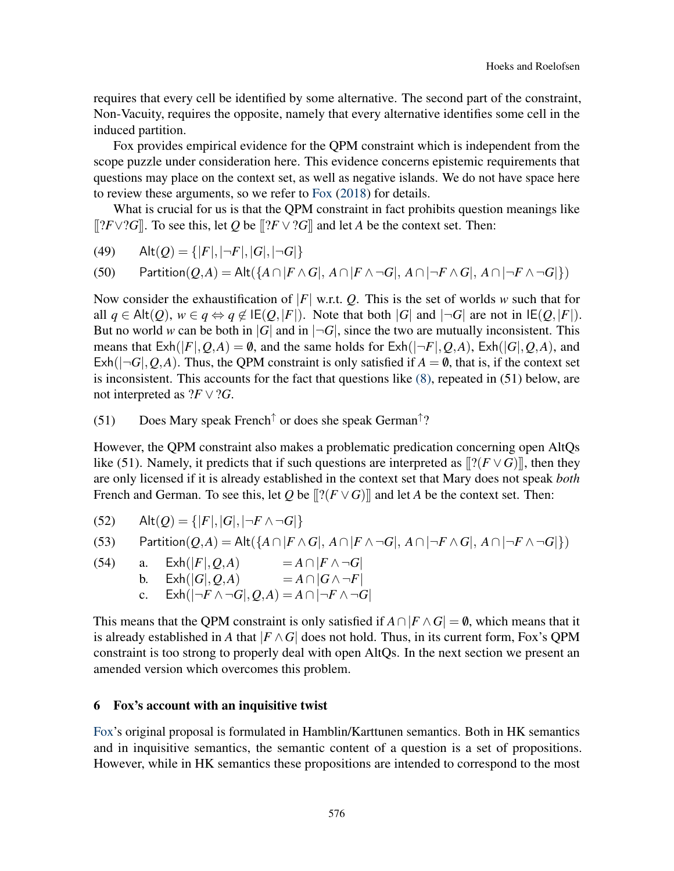requires that every cell be identified by some alternative. The second part of the constraint, Non-Vacuity, requires the opposite, namely that every alternative identifies some cell in the induced partition.

Fox provides empirical evidence for the QPM constraint which is independent from the scope puzzle under consideration here. This evidence concerns epistemic requirements that questions may place on the context set, as well as negative islands. We do not have space here to review these arguments, so we refer to [Fox](#page-19-0) [\(2018\)](#page-19-0) for details.

What is crucial for us is that the QPM constraint in fact prohibits question meanings like [[?*F*∨?*G*]]. To see this, let *Q* be [[?*F* ∨?*G*]] and let *A* be the context set. Then:

(49) 
$$
Alt(Q) = \{ |F|, |\neg F|, |G|, |\neg G| \}
$$

(50) Partition(
$$
Q,A
$$
) = Alt( $\{A \cap |F \wedge G|, A \cap |F \wedge \neg G|, A \cap |\neg F \wedge G|, A \cap |\neg F \wedge \neg G|\}$ )

Now consider the exhaustification of |*F*| w.r.t. *Q*. This is the set of worlds *w* such that for all *q* ∈ Alt(*Q*), *w* ∈ *q* ⇔ *q* ∉ IE(*Q*,|*F*|). Note that both |*G*| and  $\neg$ *-G*| are not in IE(*Q*,|*F*|). But no world *w* can be both in |*G*| and in  $\neg G$ |, since the two are mutually inconsistent. This means that  $\text{Exh}(|F|, Q, A) = \emptyset$ , and the same holds for  $\text{Exh}(|\neg F|, Q, A)$ ,  $\text{Exh}(|G|, Q, A)$ , and  $\text{Exh}(|\neg G|, Q, A)$ . Thus, the QPM constraint is only satisfied if  $A = \emptyset$ , that is, if the context set is inconsistent. This accounts for the fact that questions like [\(8\),](#page-3-2) repeated in (51) below, are not interpreted as  $?F \vee ?G$ .

## (51) Does Mary speak French<sup>↑</sup> or does she speak German<sup>↑</sup> ?

However, the QPM constraint also makes a problematic predication concerning open AltQs like (51). Namely, it predicts that if such questions are interpreted as  $[[?(F \vee G)]]$ , then they are only licensed if it is already established in the context set that Mary does not speak *both* French and German. To see this, let *Q* be  $[[?(F \vee G)]]$  and let *A* be the context set. Then:

(52) 
$$
Alt(Q) = \{ |F|, |G|, |\neg F \land \neg G| \}
$$

(53) Partition(
$$
Q,A
$$
) = Alt( $\{A \cap |F \wedge G|, A \cap |F \wedge \neg G|, A \cap |\neg F \wedge G|, A \cap |\neg F \wedge \neg G|\}$ )

(54) a. 
$$
Exh(|F|, Q, A)
$$
 =  $A \cap |F \wedge \neg G|$   
b.  $Exh(|G|, Q, A)$  =  $A \cap |G \wedge \neg F|$   
c.  $Exh(|\neg F \wedge \neg G|, Q, A) = A \cap |\neg F \wedge \neg G|$ 

This means that the QPM constraint is only satisfied if  $A \cap |F \wedge G| = \emptyset$ , which means that it is already established in *A* that  $|F \wedge G|$  does not hold. Thus, in its current form, Fox's QPM constraint is too strong to properly deal with open AltQs. In the next section we present an amended version which overcomes this problem.

#### <span id="page-15-0"></span>6 Fox's account with an inquisitive twist

[Fox'](#page-19-0)s original proposal is formulated in Hamblin/Karttunen semantics. Both in HK semantics and in inquisitive semantics, the semantic content of a question is a set of propositions. However, while in HK semantics these propositions are intended to correspond to the most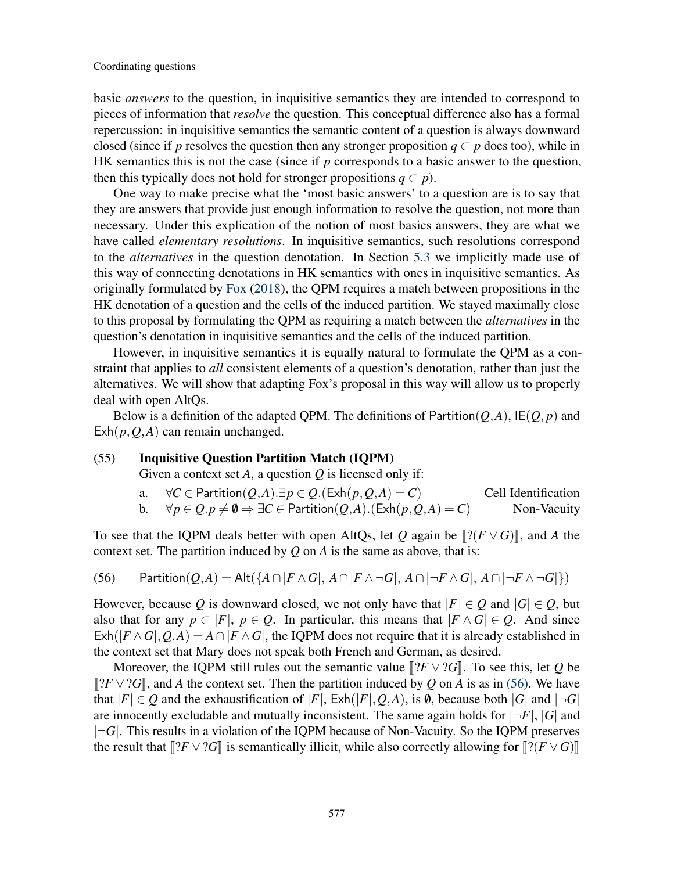basic *answers* to the question, in inquisitive semantics they are intended to correspond to pieces of information that *resolve* the question. This conceptual difference also has a formal repercussion: in inquisitive semantics the semantic content of a question is always downward closed (since if *p* resolves the question then any stronger proposition  $q \subset p$  does too), while in HK semantics this is not the case (since if *p* corresponds to a basic answer to the question, then this typically does not hold for stronger propositions  $q \subset p$ ).

One way to make precise what the 'most basic answers' to a question are is to say that they are answers that provide just enough information to resolve the question, not more than necessary. Under this explication of the notion of most basics answers, they are what we have called *elementary resolutions*. In inquisitive semantics, such resolutions correspond to the *alternatives* in the question denotation. In Section [5.3](#page-14-0) we implicitly made use of this way of connecting denotations in HK semantics with ones in inquisitive semantics. As originally formulated by [Fox](#page-19-0) [\(2018\)](#page-19-0), the QPM requires a match between propositions in the HK denotation of a question and the cells of the induced partition. We stayed maximally close to this proposal by formulating the QPM as requiring a match between the *alternatives* in the question's denotation in inquisitive semantics and the cells of the induced partition.

However, in inquisitive semantics it is equally natural to formulate the QPM as a constraint that applies to *all* consistent elements of a question's denotation, rather than just the alternatives. We will show that adapting Fox's proposal in this way will allow us to properly deal with open AltQs.

Below is a definition of the adapted QPM. The definitions of Partition( $Q$ , $A$ ), IE( $Q$ , $p$ ) and Exh(*p*,*Q*,*A*) can remain unchanged.

#### (55) Inquisitive Question Partition Match (IQPM)

Given a context set *A*, a question *Q* is licensed only if:

a. ∀*C* ∈ Partition(*Q*,*A*).∃*p* ∈ *Q*.(Exh(*p*,*Q*,*A*) = *C*) Cell Identification b. ∀ $p \in Q$ .  $p \neq \emptyset$  ⇒  $\exists C \in$  Partition(*Q*,*A*).(Exh( $p$ , *Q*,*A*) = *C*) Non-Vacuity

To see that the IQPM deals better with open AltQs, let *Q* again be  $\left[?\left(F \vee G\right)\right]$ , and *A* the context set. The partition induced by *Q* on *A* is the same as above, that is:

<span id="page-16-0"></span>(56) Partition(
$$
Q,A
$$
) = Alt( $\{A \cap |F \wedge G|, A \cap |F \wedge \neg G|, A \cap |\neg F \wedge G|, A \cap |\neg F \wedge \neg G|\}$ )

However, because *Q* is downward closed, we not only have that  $|F| \in Q$  and  $|G| \in Q$ , but also that for any  $p \text{ }\subset |F|, p \in Q$ . In particular, this means that  $|F \wedge G| \in Q$ . And since  $\mathsf{Exh}(|F \wedge G|, Q, A) = A \cap |F \wedge G|$ , the IQPM does not require that it is already established in the context set that Mary does not speak both French and German, as desired.

Moreover, the IQPM still rules out the semantic value  $\left[ ?F \vee ?G \right]$ . To see this, let *Q* be  $[[?F ∨ ?G]],$  and *A* the context set. Then the partition induced by *Q* on *A* is as in [\(56\).](#page-16-0) We have that  $|F| \in Q$  and the exhaustification of  $|F|$ ,  $\mathsf{Exh}(|F|, Q, A)$ , is  $\emptyset$ , because both  $|G|$  and  $|\neg G|$ are innocently excludable and mutually inconsistent. The same again holds for  $|\neg F|$ ,  $|G|$  and |¬*G*|. This results in a violation of the IQPM because of Non-Vacuity. So the IQPM preserves the result that  $[[?F \vee ?G]]$  is semantically illicit, while also correctly allowing for  $[[?(F \vee G)]]$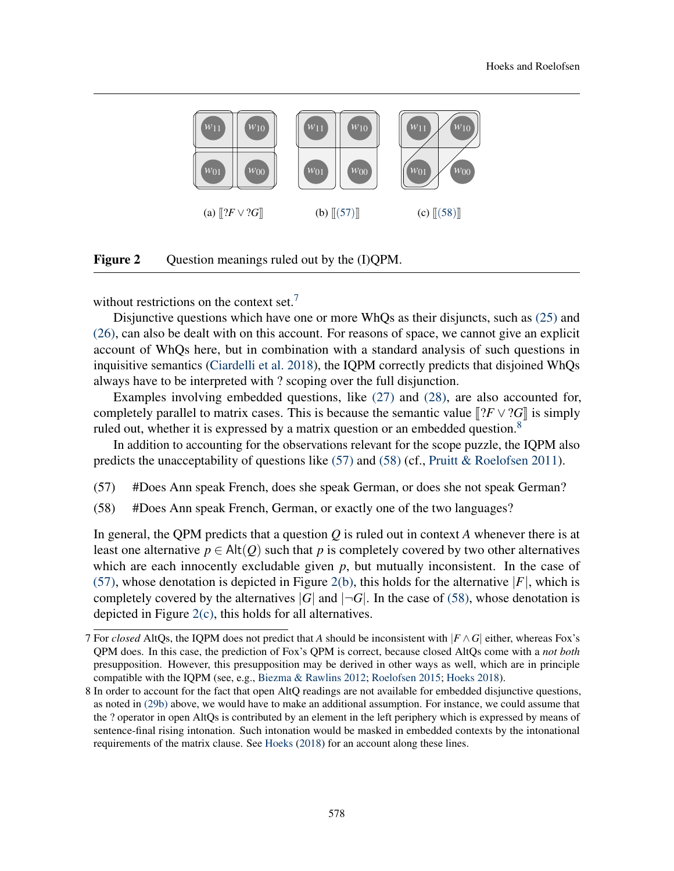<span id="page-17-5"></span><span id="page-17-4"></span>

Figure 2 Question meanings ruled out by the (I)QPM.

without restrictions on the context set.<sup>[7](#page-17-2)</sup>

Disjunctive questions which have one or more WhQs as their disjuncts, such as [\(25\)](#page-8-3) and [\(26\),](#page-8-4) can also be dealt with on this account. For reasons of space, we cannot give an explicit account of WhQs here, but in combination with a standard analysis of such questions in inquisitive semantics [\(Ciardelli et al.](#page-19-4) [2018\)](#page-19-4), the IQPM correctly predicts that disjoined WhQs always have to be interpreted with ? scoping over the full disjunction.

Examples involving embedded questions, like [\(27\)](#page-8-1) and [\(28\),](#page-8-2) are also accounted for, completely parallel to matrix cases. This is because the semantic value  $\Vert$ ?*F*  $\vee$ ?*G* $\Vert$  is simply ruled out, whether it is expressed by a matrix question or an embedded question.<sup>[8](#page-17-3)</sup>

In addition to accounting for the observations relevant for the scope puzzle, the IQPM also predicts the unacceptability of questions like  $(57)$  and  $(58)$  (cf., [Pruitt & Roelofsen](#page-19-18) [2011\)](#page-19-18).

- <span id="page-17-1"></span><span id="page-17-0"></span>(57) #Does Ann speak French, does she speak German, or does she not speak German?
- (58) #Does Ann speak French, German, or exactly one of the two languages?

In general, the QPM predicts that a question *Q* is ruled out in context *A* whenever there is at least one alternative  $p \in \text{Alt}(Q)$  such that p is completely covered by two other alternatives which are each innocently excludable given  $p$ , but mutually inconsistent. In the case of [\(57\),](#page-17-0) whose denotation is depicted in Figure [2\(b\),](#page-17-4) this holds for the alternative  $|F|$ , which is completely covered by the alternatives  $|G|$  and  $|\neg G|$ . In the case of [\(58\),](#page-17-1) whose denotation is depicted in Figure [2\(c\),](#page-17-5) this holds for all alternatives.

<span id="page-17-2"></span><sup>7</sup> For *closed* AltQs, the IQPM does not predict that *A* should be inconsistent with |*F* ∧*G*| either, whereas Fox's QPM does. In this case, the prediction of Fox's QPM is correct, because closed AltQs come with a *not both* presupposition. However, this presupposition may be derived in other ways as well, which are in principle compatible with the IQPM (see, e.g., [Biezma & Rawlins](#page-19-16) [2012;](#page-19-16) [Roelofsen](#page-20-5) [2015;](#page-20-5) [Hoeks](#page-19-13) [2018\)](#page-19-13).

<span id="page-17-3"></span><sup>8</sup> In order to account for the fact that open AltQ readings are not available for embedded disjunctive questions, as noted in [\(29b\)](#page-9-1) above, we would have to make an additional assumption. For instance, we could assume that the ? operator in open AltQs is contributed by an element in the left periphery which is expressed by means of sentence-final rising intonation. Such intonation would be masked in embedded contexts by the intonational requirements of the matrix clause. See [Hoeks](#page-19-13) [\(2018\)](#page-19-13) for an account along these lines.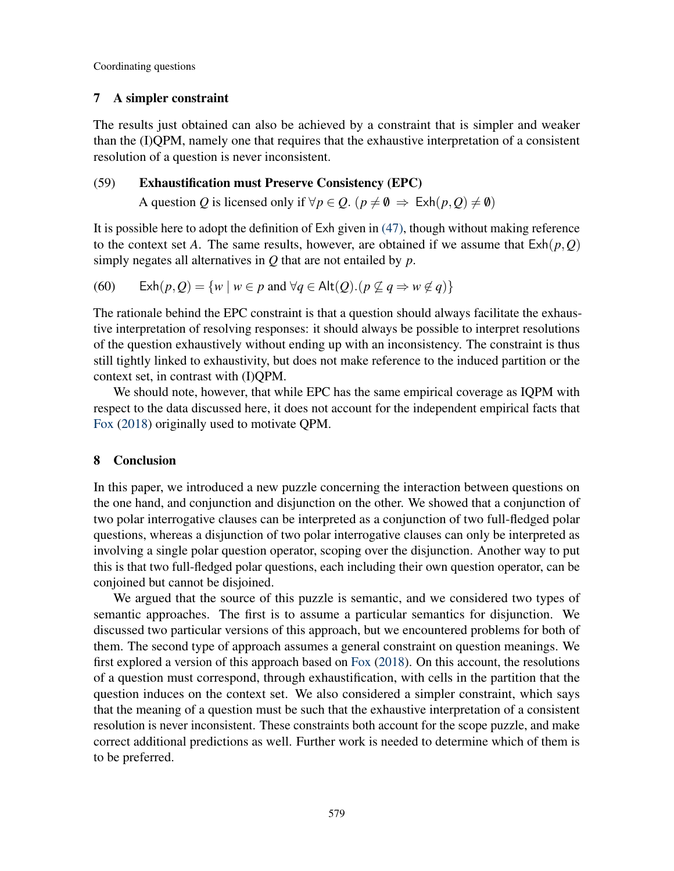### 7 A simpler constraint

The results just obtained can also be achieved by a constraint that is simpler and weaker than the (I)QPM, namely one that requires that the exhaustive interpretation of a consistent resolution of a question is never inconsistent.

### (59) Exhaustification must Preserve Consistency (EPC)

A question *Q* is licensed only if  $\forall p \in Q$ . ( $p \neq \emptyset \Rightarrow \text{Exh}(p, Q) \neq \emptyset$ )

It is possible here to adopt the definition of Exh given in [\(47\),](#page-14-1) though without making reference to the context set *A*. The same results, however, are obtained if we assume that  $\text{Exh}(p, Q)$ simply negates all alternatives in *Q* that are not entailed by *p*.

(60) 
$$
\operatorname{Exh}(p,Q) = \{ w \mid w \in p \text{ and } \forall q \in \operatorname{Alt}(Q). (p \nsubseteq q \Rightarrow w \notin q) \}
$$

The rationale behind the EPC constraint is that a question should always facilitate the exhaustive interpretation of resolving responses: it should always be possible to interpret resolutions of the question exhaustively without ending up with an inconsistency. The constraint is thus still tightly linked to exhaustivity, but does not make reference to the induced partition or the context set, in contrast with (I)QPM.

We should note, however, that while EPC has the same empirical coverage as IQPM with respect to the data discussed here, it does not account for the independent empirical facts that [Fox](#page-19-0) [\(2018\)](#page-19-0) originally used to motivate QPM.

#### 8 Conclusion

In this paper, we introduced a new puzzle concerning the interaction between questions on the one hand, and conjunction and disjunction on the other. We showed that a conjunction of two polar interrogative clauses can be interpreted as a conjunction of two full-fledged polar questions, whereas a disjunction of two polar interrogative clauses can only be interpreted as involving a single polar question operator, scoping over the disjunction. Another way to put this is that two full-fledged polar questions, each including their own question operator, can be conjoined but cannot be disjoined.

We argued that the source of this puzzle is semantic, and we considered two types of semantic approaches. The first is to assume a particular semantics for disjunction. We discussed two particular versions of this approach, but we encountered problems for both of them. The second type of approach assumes a general constraint on question meanings. We first explored a version of this approach based on [Fox](#page-19-0) [\(2018\)](#page-19-0). On this account, the resolutions of a question must correspond, through exhaustification, with cells in the partition that the question induces on the context set. We also considered a simpler constraint, which says that the meaning of a question must be such that the exhaustive interpretation of a consistent resolution is never inconsistent. These constraints both account for the scope puzzle, and make correct additional predictions as well. Further work is needed to determine which of them is to be preferred.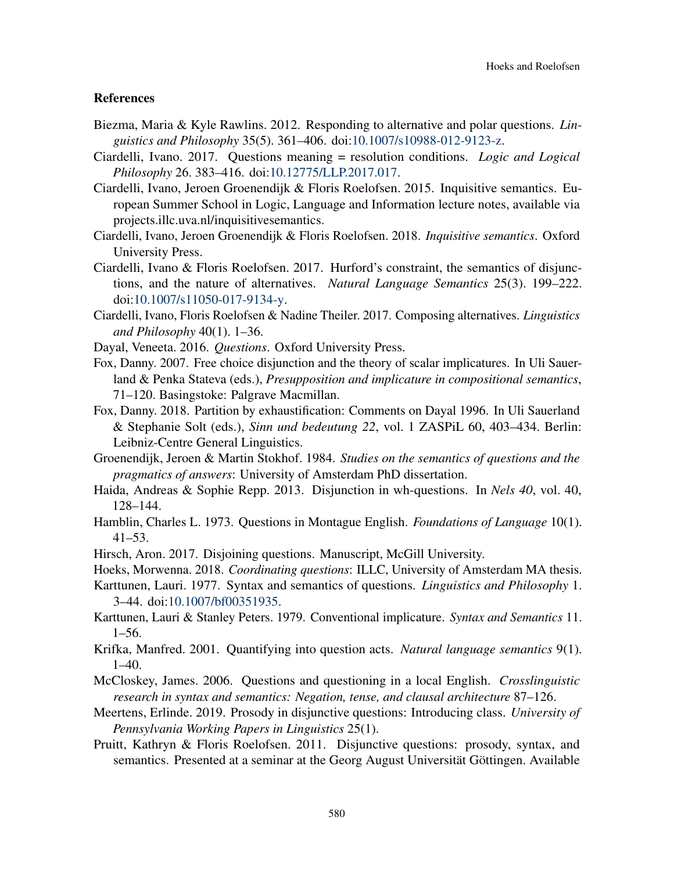#### References

- <span id="page-19-16"></span>Biezma, Maria & Kyle Rawlins. 2012. Responding to alternative and polar questions. *Linguistics and Philosophy* 35(5). 361–406. doi[:10.1007/s10988-012-9123-z.](http://dx.doi.org/10.1007/s10988-012-9123-z)
- <span id="page-19-10"></span>Ciardelli, Ivano. 2017. Questions meaning = resolution conditions. *Logic and Logical Philosophy* 26. 383–416. doi[:10.12775/LLP.2017.017.](http://dx.doi.org/10.12775/LLP.2017.017)
- <span id="page-19-3"></span>Ciardelli, Ivano, Jeroen Groenendijk & Floris Roelofsen. 2015. Inquisitive semantics. European Summer School in Logic, Language and Information lecture notes, available via projects.illc.uva.nl/inquisitivesemantics.
- <span id="page-19-4"></span>Ciardelli, Ivano, Jeroen Groenendijk & Floris Roelofsen. 2018. *Inquisitive semantics*. Oxford University Press.
- <span id="page-19-11"></span>Ciardelli, Ivano & Floris Roelofsen. 2017. Hurford's constraint, the semantics of disjunctions, and the nature of alternatives. *Natural Language Semantics* 25(3). 199–222. doi[:10.1007/s11050-017-9134-y.](http://dx.doi.org/10.1007/s11050-017-9134-y)
- <span id="page-19-12"></span>Ciardelli, Ivano, Floris Roelofsen & Nadine Theiler. 2017. Composing alternatives. *Linguistics and Philosophy* 40(1). 1–36.
- <span id="page-19-9"></span>Dayal, Veneeta. 2016. *Questions*. Oxford University Press.
- <span id="page-19-19"></span>Fox, Danny. 2007. Free choice disjunction and the theory of scalar implicatures. In Uli Sauerland & Penka Stateva (eds.), *Presupposition and implicature in compositional semantics*, 71–120. Basingstoke: Palgrave Macmillan.
- <span id="page-19-0"></span>Fox, Danny. 2018. Partition by exhaustification: Comments on Dayal 1996. In Uli Sauerland & Stephanie Solt (eds.), *Sinn und bedeutung 22*, vol. 1 ZASPiL 60, 403–434. Berlin: Leibniz-Centre General Linguistics.
- <span id="page-19-6"></span>Groenendijk, Jeroen & Martin Stokhof. 1984. *Studies on the semantics of questions and the pragmatics of answers*: University of Amsterdam PhD dissertation.
- <span id="page-19-2"></span>Haida, Andreas & Sophie Repp. 2013. Disjunction in wh-questions. In *Nels 40*, vol. 40, 128–144.
- <span id="page-19-7"></span>Hamblin, Charles L. 1973. Questions in Montague English. *Foundations of Language* 10(1). 41–53.
- <span id="page-19-5"></span>Hirsch, Aron. 2017. Disjoining questions. Manuscript, McGill University.
- <span id="page-19-13"></span>Hoeks, Morwenna. 2018. *Coordinating questions*: ILLC, University of Amsterdam MA thesis.
- <span id="page-19-8"></span>Karttunen, Lauri. 1977. Syntax and semantics of questions. *Linguistics and Philosophy* 1. 3–44. doi[:10.1007/bf00351935.](http://dx.doi.org/10.1007/bf00351935)
- <span id="page-19-15"></span>Karttunen, Lauri & Stanley Peters. 1979. Conventional implicature. *Syntax and Semantics* 11. 1–56.
- <span id="page-19-1"></span>Krifka, Manfred. 2001. Quantifying into question acts. *Natural language semantics* 9(1).  $1-40.$
- <span id="page-19-17"></span>McCloskey, James. 2006. Questions and questioning in a local English. *Crosslinguistic research in syntax and semantics: Negation, tense, and clausal architecture* 87–126.
- <span id="page-19-14"></span>Meertens, Erlinde. 2019. Prosody in disjunctive questions: Introducing class. *University of Pennsylvania Working Papers in Linguistics* 25(1).
- <span id="page-19-18"></span>Pruitt, Kathryn & Floris Roelofsen. 2011. Disjunctive questions: prosody, syntax, and semantics. Presented at a seminar at the Georg August Universität Göttingen. Available